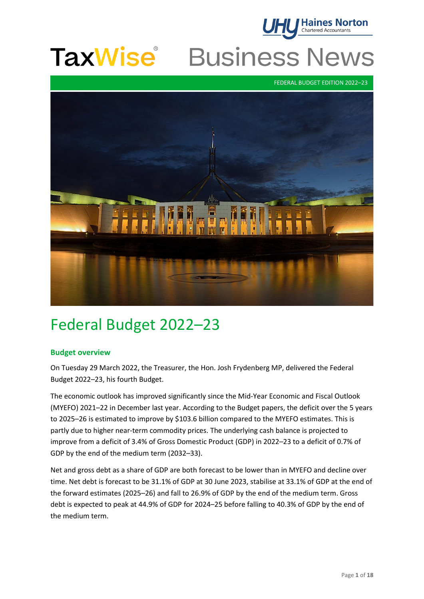

### **TaxWise Business News**

FEDERAL BUDGET EDITION 2022–23



## Federal Budget 2022–23

#### **Budget overview**

On Tuesday 29 March 2022, the Treasurer, the Hon. Josh Frydenberg MP, delivered the Federal Budget 2022–23, his fourth Budget.

The economic outlook has improved significantly since the Mid-Year Economic and Fiscal Outlook (MYEFO) 2021–22 in December last year. According to the Budget papers, the deficit over the 5 years to 2025–26 is estimated to improve by \$103.6 billion compared to the MYEFO estimates. This is partly due to higher near-term commodity prices. The underlying cash balance is projected to improve from a deficit of 3.4% of Gross Domestic Product (GDP) in 2022–23 to a deficit of 0.7% of GDP by the end of the medium term (2032–33).

Net and gross debt as a share of GDP are both forecast to be lower than in MYEFO and decline over time. Net debt is forecast to be 31.1% of GDP at 30 June 2023, stabilise at 33.1% of GDP at the end of the forward estimates (2025–26) and fall to 26.9% of GDP by the end of the medium term. Gross debt is expected to peak at 44.9% of GDP for 2024–25 before falling to 40.3% of GDP by the end of the medium term.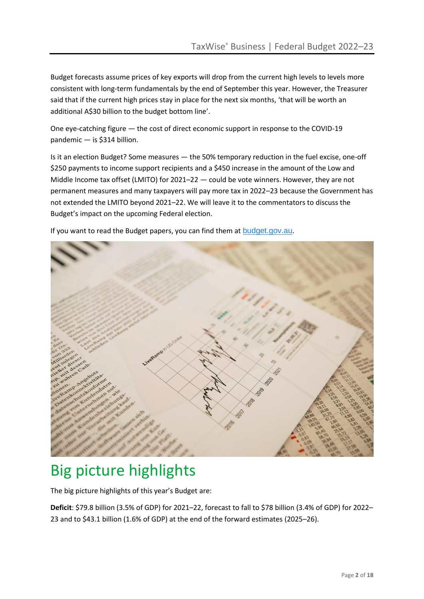Budget forecasts assume prices of key exports will drop from the current high levels to levels more consistent with long-term fundamentals by the end of September this year. However, the Treasurer said that if the current high prices stay in place for the next six months, 'that will be worth an additional A\$30 billion to the budget bottom line'.

One eye-catching figure — the cost of direct economic support in response to the COVID-19 pandemic — is \$314 billion.

Is it an election Budget? Some measures — the 50% temporary reduction in the fuel excise, one-off \$250 payments to income support recipients and a \$450 increase in the amount of the Low and Middle Income tax offset (LMITO) for 2021–22 — could be vote winners. However, they are not permanent measures and many taxpayers will pay more tax in 2022–23 because the Government has not extended the LMITO beyond 2021–22. We will leave it to the commentators to discuss the Budget's impact on the upcoming Federal election.

If you want to read the Budget papers, you can find them at [budget.gov.au](http://www.budget.gov.au/).



# Big picture highlights

The big picture highlights of this year's Budget are:

**Deficit**: \$79.8 billion (3.5% of GDP) for 2021–22, forecast to fall to \$78 billion (3.4% of GDP) for 2022– 23 and to \$43.1 billion (1.6% of GDP) at the end of the forward estimates (2025–26).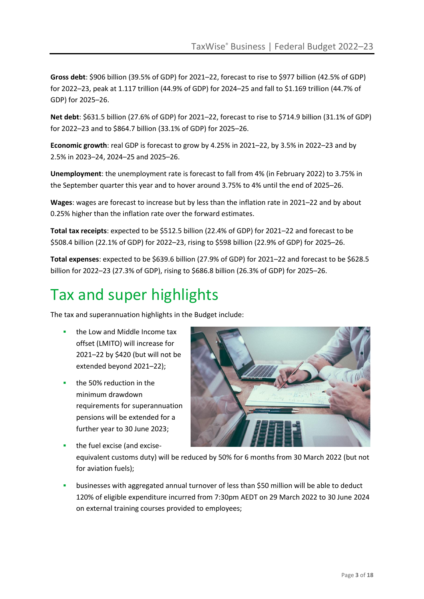**Gross debt**: \$906 billion (39.5% of GDP) for 2021–22, forecast to rise to \$977 billion (42.5% of GDP) for 2022–23, peak at 1.117 trillion (44.9% of GDP) for 2024–25 and fall to \$1.169 trillion (44.7% of GDP) for 2025–26.

**Net debt**: \$631.5 billion (27.6% of GDP) for 2021–22, forecast to rise to \$714.9 billion (31.1% of GDP) for 2022–23 and to \$864.7 billion (33.1% of GDP) for 2025–26.

**Economic growth**: real GDP is forecast to grow by 4.25% in 2021–22, by 3.5% in 2022–23 and by 2.5% in 2023–24, 2024–25 and 2025–26.

**Unemployment**: the unemployment rate is forecast to fall from 4% (in February 2022) to 3.75% in the September quarter this year and to hover around 3.75% to 4% until the end of 2025–26.

**Wages**: wages are forecast to increase but by less than the inflation rate in 2021–22 and by about 0.25% higher than the inflation rate over the forward estimates.

**Total tax receipts**: expected to be \$512.5 billion (22.4% of GDP) for 2021–22 and forecast to be \$508.4 billion (22.1% of GDP) for 2022–23, rising to \$598 billion (22.9% of GDP) for 2025–26.

**Total expenses**: expected to be \$639.6 billion (27.9% of GDP) for 2021–22 and forecast to be \$628.5 billion for 2022–23 (27.3% of GDP), rising to \$686.8 billion (26.3% of GDP) for 2025–26.

# Tax and super highlights

The tax and superannuation highlights in the Budget include:

- **▪** the Low and Middle Income tax offset (LMITO) will increase for 2021–22 by \$420 (but will not be extended beyond 2021–22);
- **▪** the 50% reduction in the minimum drawdown requirements for superannuation pensions will be extended for a further year to 30 June 2023;

![](_page_2_Picture_12.jpeg)

**▪** the fuel excise (and exciseequivalent customs duty) will be reduced by 50% for 6 months from 30 March 2022 (but not for aviation fuels);

businesses with aggregated annual turnover of less than \$50 million will be able to deduct 120% of eligible expenditure incurred from 7:30pm AEDT on 29 March 2022 to 30 June 2024 on external training courses provided to employees;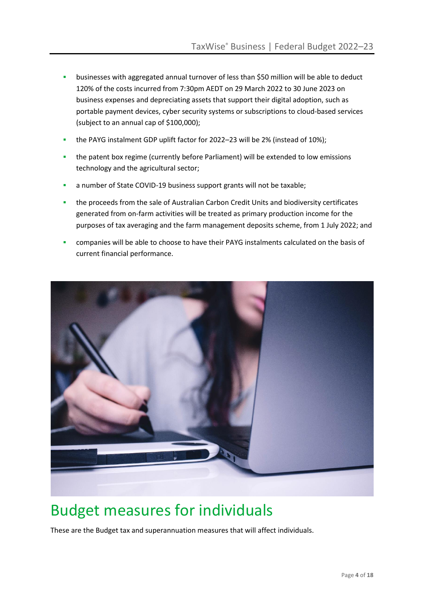- **■** businesses with aggregated annual turnover of less than \$50 million will be able to deduct 120% of the costs incurred from 7:30pm AEDT on 29 March 2022 to 30 June 2023 on business expenses and depreciating assets that support their digital adoption, such as portable payment devices, cyber security systems or subscriptions to cloud-based services (subject to an annual cap of \$100,000);
- **▪** the PAYG instalment GDP uplift factor for 2022–23 will be 2% (instead of 10%);
- **■** the patent box regime (currently before Parliament) will be extended to low emissions technology and the agricultural sector;
- a number of State COVID-19 business support grants will not be taxable;
- **▪** the proceeds from the sale of Australian Carbon Credit Units and biodiversity certificates generated from on-farm activities will be treated as primary production income for the purposes of tax averaging and the farm management deposits scheme, from 1 July 2022; and
- companies will be able to choose to have their PAYG instalments calculated on the basis of current financial performance.

![](_page_3_Picture_7.jpeg)

### Budget measures for individuals

These are the Budget tax and superannuation measures that will affect individuals.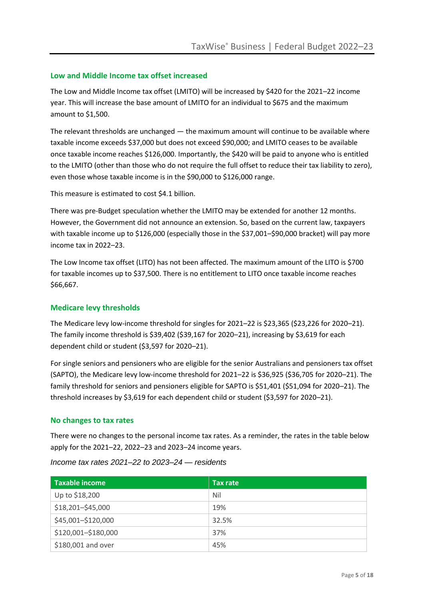#### **Low and Middle Income tax offset increased**

The Low and Middle Income tax offset (LMITO) will be increased by \$420 for the 2021–22 income year. This will increase the base amount of LMITO for an individual to \$675 and the maximum amount to \$1,500.

The relevant thresholds are unchanged — the maximum amount will continue to be available where taxable income exceeds \$37,000 but does not exceed \$90,000; and LMITO ceases to be available once taxable income reaches \$126,000. Importantly, the \$420 will be paid to anyone who is entitled to the LMITO (other than those who do not require the full offset to reduce their tax liability to zero), even those whose taxable income is in the \$90,000 to \$126,000 range.

This measure is estimated to cost \$4.1 billion.

There was pre-Budget speculation whether the LMITO may be extended for another 12 months. However, the Government did not announce an extension. So, based on the current law, taxpayers with taxable income up to \$126,000 (especially those in the \$37,001–\$90,000 bracket) will pay more income tax in 2022–23.

The Low Income tax offset (LITO) has not been affected. The maximum amount of the LITO is \$700 for taxable incomes up to \$37,500. There is no entitlement to LITO once taxable income reaches \$66,667.

#### **Medicare levy thresholds**

The Medicare levy low-income threshold for singles for 2021–22 is \$23,365 (\$23,226 for 2020–21). The family income threshold is \$39,402 (\$39,167 for 2020–21), increasing by \$3,619 for each dependent child or student (\$3,597 for 2020–21).

For single seniors and pensioners who are eligible for the senior Australians and pensioners tax offset (SAPTO), the Medicare levy low-income threshold for 2021–22 is \$36,925 (\$36,705 for 2020–21). The family threshold for seniors and pensioners eligible for SAPTO is \$51,401 (\$51,094 for 2020–21). The threshold increases by \$3,619 for each dependent child or student (\$3,597 for 2020–21).

#### **No changes to tax rates**

There were no changes to the personal income tax rates. As a reminder, the rates in the table below apply for the 2021–22, 2022–23 and 2023–24 income years.

| Taxable income      | Tax rate |
|---------------------|----------|
| Up to \$18,200      | Nil      |
| \$18,201-\$45,000   | 19%      |
| \$45,001-\$120,000  | 32.5%    |
| \$120,001-\$180,000 | 37%      |
| \$180,001 and over  | 45%      |

*Income tax rates 2021–22 to 2023–24 — residents*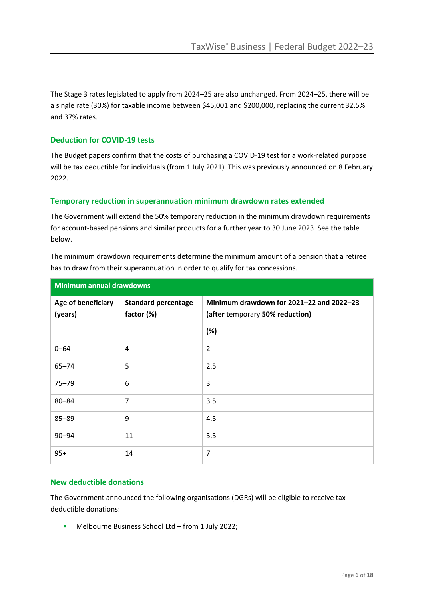The Stage 3 rates legislated to apply from 2024–25 are also unchanged. From 2024–25, there will be a single rate (30%) for taxable income between \$45,001 and \$200,000, replacing the current 32.5% and 37% rates.

#### **Deduction for COVID-19 tests**

The Budget papers confirm that the costs of purchasing a COVID-19 test for a work-related purpose will be tax deductible for individuals (from 1 July 2021). This was previously announced on 8 February 2022.

#### **Temporary reduction in superannuation minimum drawdown rates extended**

The Government will extend the 50% temporary reduction in the minimum drawdown requirements for account-based pensions and similar products for a further year to 30 June 2023. See the table below.

The minimum drawdown requirements determine the minimum amount of a pension that a retiree has to draw from their superannuation in order to qualify for tax concessions.

| <b>Minimum annual drawdowns</b> |                                          |                                                                                    |
|---------------------------------|------------------------------------------|------------------------------------------------------------------------------------|
| Age of beneficiary<br>(years)   | <b>Standard percentage</b><br>factor (%) | Minimum drawdown for 2021-22 and 2022-23<br>(after temporary 50% reduction)<br>(%) |
| $0 - 64$                        | 4                                        | $\overline{2}$                                                                     |
| $65 - 74$                       | 5                                        | 2.5                                                                                |
| $75 - 79$                       | 6                                        | 3                                                                                  |
| $80 - 84$                       | 7                                        | 3.5                                                                                |
| $85 - 89$                       | 9                                        | 4.5                                                                                |
| $90 - 94$                       | 11                                       | 5.5                                                                                |
| $95+$                           | 14                                       | $\overline{7}$                                                                     |

#### **New deductible donations**

The Government announced the following organisations (DGRs) will be eligible to receive tax deductible donations:

**▪** Melbourne Business School Ltd – from 1 July 2022;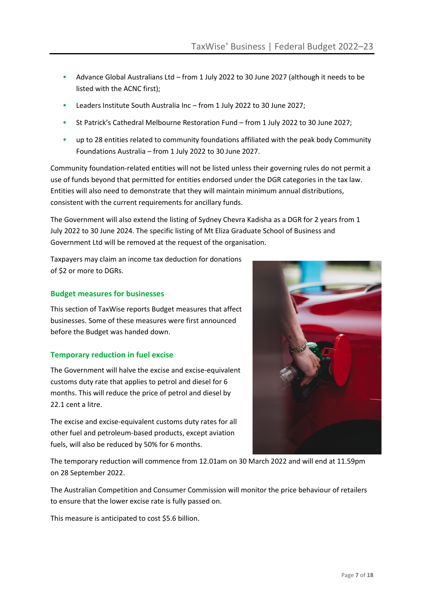- **▪** Advance Global Australians Ltd from 1 July 2022 to 30 June 2027 (although it needs to be listed with the ACNC first);
- **▪** Leaders Institute South Australia Inc from 1 July 2022 to 30 June 2027;
- **▪** St Patrick's Cathedral Melbourne Restoration Fund from 1 July 2022 to 30 June 2027;
- up to 28 entities related to community foundations affiliated with the peak body Community Foundations Australia – from 1 July 2022 to 30 June 2027.

Community foundation-related entities will not be listed unless their governing rules do not permit a use of funds beyond that permitted for entities endorsed under the DGR categories in the tax law. Entities will also need to demonstrate that they will maintain minimum annual distributions, consistent with the current requirements for ancillary funds.

The Government will also extend the listing of Sydney Chevra Kadisha as a DGR for 2 years from 1 July 2022 to 30 June 2024. The specific listing of Mt Eliza Graduate School of Business and Government Ltd will be removed at the request of the organisation.

Taxpayers may claim an income tax deduction for donations of \$2 or more to DGRs.

#### **Budget measures for businesses**

This section of TaxWise reports Budget measures that affect businesses. Some of these measures were first announced before the Budget was handed down.

#### **Temporary reduction in fuel excise**

The Government will halve the excise and excise-equivalent customs duty rate that applies to petrol and diesel for 6 months. This will reduce the price of petrol and diesel by 22.1 cent a litre.

The excise and excise-equivalent customs duty rates for all other fuel and petroleum-based products, except aviation fuels, will also be reduced by 50% for 6 months.

The temporary reduction will commence from 12.01am on 30 March 2022 and will end at 11.59pm on 28 September 2022.

The Australian Competition and Consumer Commission will monitor the price behaviour of retailers to ensure that the lower excise rate is fully passed on.

This measure is anticipated to cost \$5.6 billion.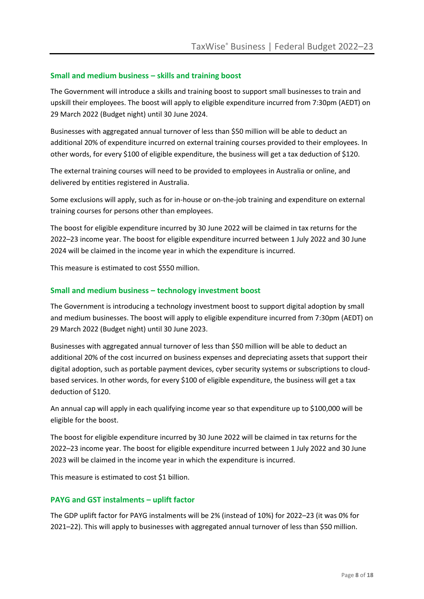#### **Small and medium business – skills and training boost**

The Government will introduce a skills and training boost to support small businesses to train and upskill their employees. The boost will apply to eligible expenditure incurred from 7:30pm (AEDT) on 29 March 2022 (Budget night) until 30 June 2024.

Businesses with aggregated annual turnover of less than \$50 million will be able to deduct an additional 20% of expenditure incurred on external training courses provided to their employees. In other words, for every \$100 of eligible expenditure, the business will get a tax deduction of \$120.

The external training courses will need to be provided to employees in Australia or online, and delivered by entities registered in Australia.

Some exclusions will apply, such as for in-house or on-the-job training and expenditure on external training courses for persons other than employees.

The boost for eligible expenditure incurred by 30 June 2022 will be claimed in tax returns for the 2022–23 income year. The boost for eligible expenditure incurred between 1 July 2022 and 30 June 2024 will be claimed in the income year in which the expenditure is incurred.

This measure is estimated to cost \$550 million.

#### **Small and medium business – technology investment boost**

The Government is introducing a technology investment boost to support digital adoption by small and medium businesses. The boost will apply to eligible expenditure incurred from 7:30pm (AEDT) on 29 March 2022 (Budget night) until 30 June 2023.

Businesses with aggregated annual turnover of less than \$50 million will be able to deduct an additional 20% of the cost incurred on business expenses and depreciating assets that support their digital adoption, such as portable payment devices, cyber security systems or subscriptions to cloudbased services. In other words, for every \$100 of eligible expenditure, the business will get a tax deduction of \$120.

An annual cap will apply in each qualifying income year so that expenditure up to \$100,000 will be eligible for the boost.

The boost for eligible expenditure incurred by 30 June 2022 will be claimed in tax returns for the 2022–23 income year. The boost for eligible expenditure incurred between 1 July 2022 and 30 June 2023 will be claimed in the income year in which the expenditure is incurred.

This measure is estimated to cost \$1 billion.

#### **PAYG and GST instalments – uplift factor**

The GDP uplift factor for PAYG instalments will be 2% (instead of 10%) for 2022–23 (it was 0% for 2021–22). This will apply to businesses with aggregated annual turnover of less than \$50 million.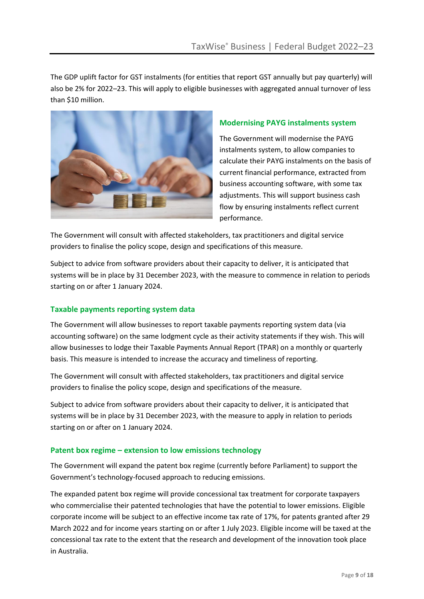The GDP uplift factor for GST instalments (for entities that report GST annually but pay quarterly) will also be 2% for 2022–23. This will apply to eligible businesses with aggregated annual turnover of less than \$10 million.

![](_page_8_Picture_2.jpeg)

#### **Modernising PAYG instalments system**

The Government will modernise the PAYG instalments system, to allow companies to calculate their PAYG instalments on the basis of current financial performance, extracted from business accounting software, with some tax adjustments. This will support business cash flow by ensuring instalments reflect current performance.

The Government will consult with affected stakeholders, tax practitioners and digital service providers to finalise the policy scope, design and specifications of this measure.

Subject to advice from software providers about their capacity to deliver, it is anticipated that systems will be in place by 31 December 2023, with the measure to commence in relation to periods starting on or after 1 January 2024.

#### **Taxable payments reporting system data**

The Government will allow businesses to report taxable payments reporting system data (via accounting software) on the same lodgment cycle as their activity statements if they wish. This will allow businesses to lodge their Taxable Payments Annual Report (TPAR) on a monthly or quarterly basis. This measure is intended to increase the accuracy and timeliness of reporting.

The Government will consult with affected stakeholders, tax practitioners and digital service providers to finalise the policy scope, design and specifications of the measure.

Subject to advice from software providers about their capacity to deliver, it is anticipated that systems will be in place by 31 December 2023, with the measure to apply in relation to periods starting on or after on 1 January 2024.

#### **Patent box regime – extension to low emissions technology**

The Government will expand the patent box regime (currently before Parliament) to support the Government's technology-focused approach to reducing emissions.

The expanded patent box regime will provide concessional tax treatment for corporate taxpayers who commercialise their patented technologies that have the potential to lower emissions. Eligible corporate income will be subject to an effective income tax rate of 17%, for patents granted after 29 March 2022 and for income years starting on or after 1 July 2023. Eligible income will be taxed at the concessional tax rate to the extent that the research and development of the innovation took place in Australia.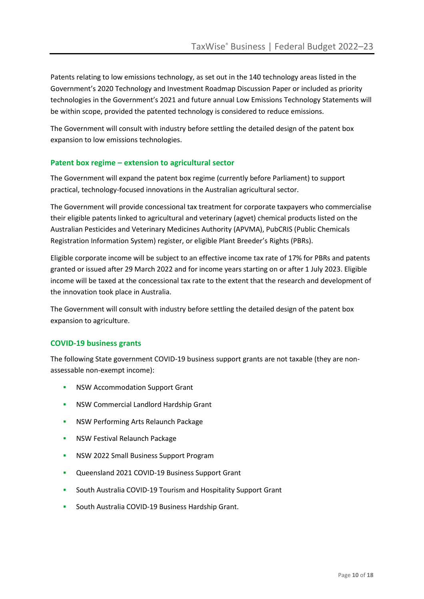Patents relating to low emissions technology, as set out in the 140 technology areas listed in the Government's 2020 Technology and Investment Roadmap Discussion Paper or included as priority technologies in the Government's 2021 and future annual Low Emissions Technology Statements will be within scope, provided the patented technology is considered to reduce emissions.

The Government will consult with industry before settling the detailed design of the patent box expansion to low emissions technologies.

#### **Patent box regime – extension to agricultural sector**

The Government will expand the patent box regime (currently before Parliament) to support practical, technology-focused innovations in the Australian agricultural sector.

The Government will provide concessional tax treatment for corporate taxpayers who commercialise their eligible patents linked to agricultural and veterinary (agvet) chemical products listed on the Australian Pesticides and Veterinary Medicines Authority (APVMA), PubCRIS (Public Chemicals Registration Information System) register, or eligible Plant Breeder's Rights (PBRs).

Eligible corporate income will be subject to an effective income tax rate of 17% for PBRs and patents granted or issued after 29 March 2022 and for income years starting on or after 1 July 2023. Eligible income will be taxed at the concessional tax rate to the extent that the research and development of the innovation took place in Australia.

The Government will consult with industry before settling the detailed design of the patent box expansion to agriculture.

#### **COVID-19 business grants**

The following State government COVID-19 business support grants are not taxable (they are nonassessable non-exempt income):

- **NSW Accommodation Support Grant**
- **▪** NSW Commercial Landlord Hardship Grant
- **▪** NSW Performing Arts Relaunch Package
- **▪** NSW Festival Relaunch Package
- **▪** NSW 2022 Small Business Support Program
- **▪** Queensland 2021 COVID-19 Business Support Grant
- **▪** South Australia COVID-19 Tourism and Hospitality Support Grant
- **▪** South Australia COVID-19 Business Hardship Grant.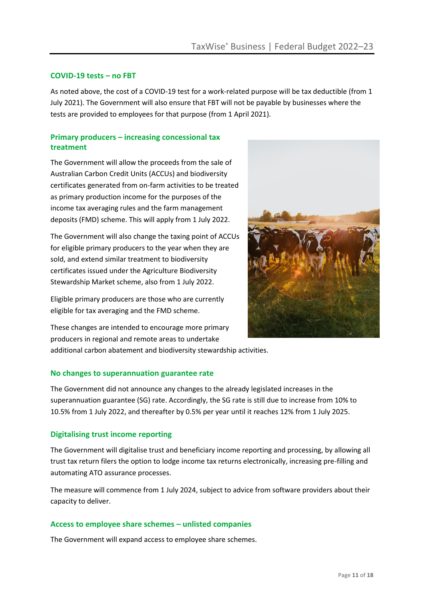#### **COVID-19 tests – no FBT**

As noted above, the cost of a COVID-19 test for a work-related purpose will be tax deductible (from 1 July 2021). The Government will also ensure that FBT will not be payable by businesses where the tests are provided to employees for that purpose (from 1 April 2021).

#### **Primary producers – increasing concessional tax treatment**

The Government will allow the proceeds from the sale of Australian Carbon Credit Units (ACCUs) and biodiversity certificates generated from on-farm activities to be treated as primary production income for the purposes of the income tax averaging rules and the farm management deposits (FMD) scheme. This will apply from 1 July 2022.

The Government will also change the taxing point of ACCUs for eligible primary producers to the year when they are sold, and extend similar treatment to biodiversity certificates issued under the Agriculture Biodiversity Stewardship Market scheme, also from 1 July 2022.

Eligible primary producers are those who are currently eligible for tax averaging and the FMD scheme.

![](_page_10_Picture_7.jpeg)

These changes are intended to encourage more primary producers in regional and remote areas to undertake additional carbon abatement and biodiversity stewardship activities.

#### **No changes to superannuation guarantee rate**

The Government did not announce any changes to the already legislated increases in the superannuation guarantee (SG) rate. Accordingly, the SG rate is still due to increase from 10% to 10.5% from 1 July 2022, and thereafter by 0.5% per year until it reaches 12% from 1 July 2025.

#### **Digitalising trust income reporting**

The Government will digitalise trust and beneficiary income reporting and processing, by allowing all trust tax return filers the option to lodge income tax returns electronically, increasing pre-filling and automating ATO assurance processes.

The measure will commence from 1 July 2024, subject to advice from software providers about their capacity to deliver.

#### **Access to employee share schemes – unlisted companies**

The Government will expand access to employee share schemes.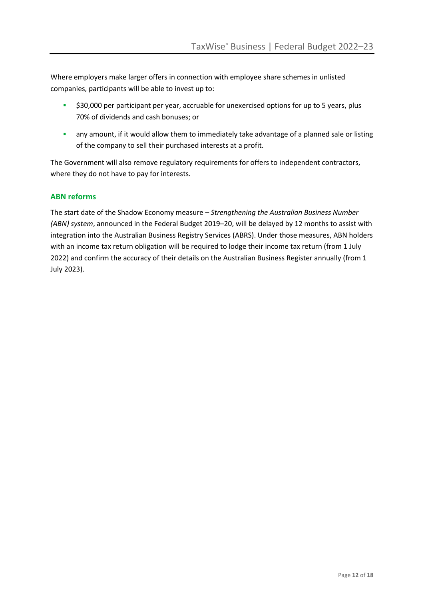Where employers make larger offers in connection with employee share schemes in unlisted companies, participants will be able to invest up to:

- **▪** \$30,000 per participant per year, accruable for unexercised options for up to 5 years, plus 70% of dividends and cash bonuses; or
- **■** any amount, if it would allow them to immediately take advantage of a planned sale or listing of the company to sell their purchased interests at a profit.

The Government will also remove regulatory requirements for offers to independent contractors, where they do not have to pay for interests.

#### **ABN reforms**

The start date of the Shadow Economy measure – *Strengthening the Australian Business Number (ABN) system*, announced in the Federal Budget 2019–20, will be delayed by 12 months to assist with integration into the Australian Business Registry Services (ABRS). Under those measures, ABN holders with an income tax return obligation will be required to lodge their income tax return (from 1 July 2022) and confirm the accuracy of their details on the Australian Business Register annually (from 1 July 2023).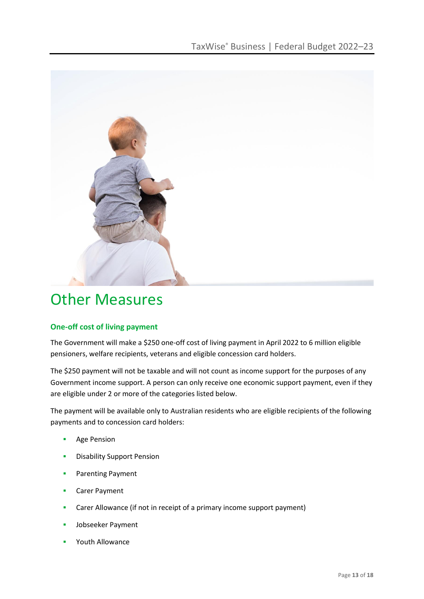![](_page_12_Picture_1.jpeg)

### Other Measures

#### **One-off cost of living payment**

The Government will make a \$250 one-off cost of living payment in April 2022 to 6 million eligible pensioners, welfare recipients, veterans and eligible concession card holders.

The \$250 payment will not be taxable and will not count as income support for the purposes of any Government income support. A person can only receive one economic support payment, even if they are eligible under 2 or more of the categories listed below.

The payment will be available only to Australian residents who are eligible recipients of the following payments and to concession card holders:

- **▪** Age Pension
- **▪** Disability Support Pension
- **▪** Parenting Payment
- **▪** Carer Payment
- **▪** Carer Allowance (if not in receipt of a primary income support payment)
- **▪** Jobseeker Payment
- **▪** Youth Allowance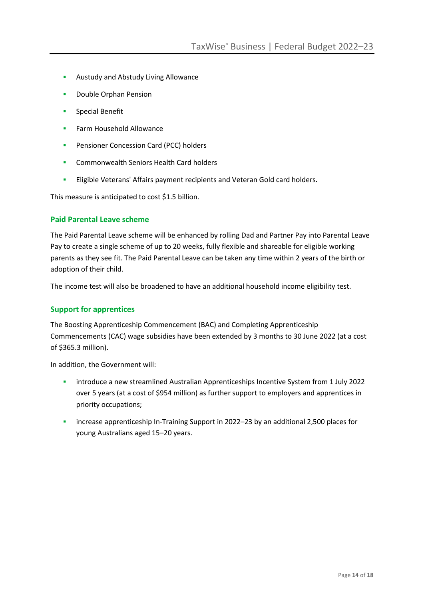- **▪** Austudy and Abstudy Living Allowance
- **▪** Double Orphan Pension
- **▪** Special Benefit
- **▪** Farm Household Allowance
- **▪** Pensioner Concession Card (PCC) holders
- **▪** Commonwealth Seniors Health Card holders
- **▪** Eligible Veterans' Affairs payment recipients and Veteran Gold card holders.

This measure is anticipated to cost \$1.5 billion.

#### **Paid Parental Leave scheme**

The Paid Parental Leave scheme will be enhanced by rolling Dad and Partner Pay into Parental Leave Pay to create a single scheme of up to 20 weeks, fully flexible and shareable for eligible working parents as they see fit. The Paid Parental Leave can be taken any time within 2 years of the birth or adoption of their child.

The income test will also be broadened to have an additional household income eligibility test.

#### **Support for apprentices**

The Boosting Apprenticeship Commencement (BAC) and Completing Apprenticeship Commencements (CAC) wage subsidies have been extended by 3 months to 30 June 2022 (at a cost of \$365.3 million).

In addition, the Government will:

- **▪** introduce a new streamlined Australian Apprenticeships Incentive System from 1 July 2022 over 5 years (at a cost of \$954 million) as further support to employers and apprentices in priority occupations;
- **▪** increase apprenticeship In-Training Support in 2022–23 by an additional 2,500 places for young Australians aged 15–20 years.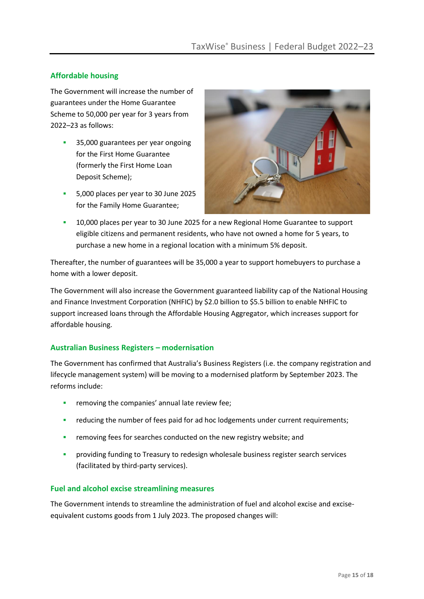#### **Affordable housing**

The Government will increase the number of guarantees under the Home Guarantee Scheme to 50,000 per year for 3 years from 2022–23 as follows:

- **▪** 35,000 guarantees per year ongoing for the First Home Guarantee (formerly the First Home Loan Deposit Scheme);
- **▪** 5,000 places per year to 30 June 2025 for the Family Home Guarantee;

![](_page_14_Picture_5.jpeg)

**▪** 10,000 places per year to 30 June 2025 for a new Regional Home Guarantee to support eligible citizens and permanent residents, who have not owned a home for 5 years, to purchase a new home in a regional location with a minimum 5% deposit.

Thereafter, the number of guarantees will be 35,000 a year to support homebuyers to purchase a home with a lower deposit.

The Government will also increase the Government guaranteed liability cap of the National Housing and Finance Investment Corporation (NHFIC) by \$2.0 billion to \$5.5 billion to enable NHFIC to support increased loans through the Affordable Housing Aggregator, which increases support for affordable housing.

#### **Australian Business Registers – modernisation**

The Government has confirmed that Australia's Business Registers (i.e. the company registration and lifecycle management system) will be moving to a modernised platform by September 2023. The reforms include:

- removing the companies' annual late review fee;
- **■** reducing the number of fees paid for ad hoc lodgements under current requirements;
- **▪** removing fees for searches conducted on the new registry website; and
- **▪** providing funding to Treasury to redesign wholesale business register search services (facilitated by third-party services).

#### **Fuel and alcohol excise streamlining measures**

The Government intends to streamline the administration of fuel and alcohol excise and exciseequivalent customs goods from 1 July 2023. The proposed changes will: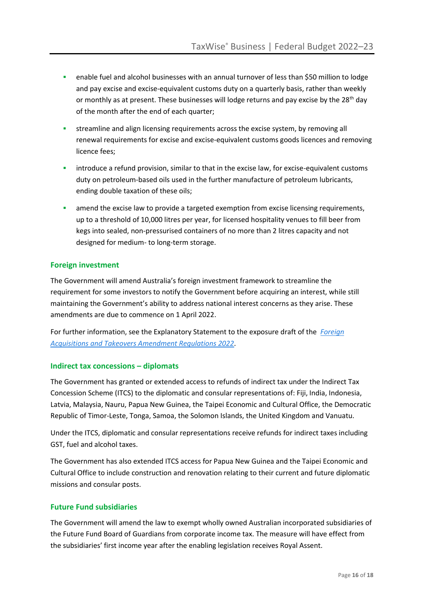- **■** enable fuel and alcohol businesses with an annual turnover of less than \$50 million to lodge and pay excise and excise-equivalent customs duty on a quarterly basis, rather than weekly or monthly as at present. These businesses will lodge returns and pay excise by the 28<sup>th</sup> day of the month after the end of each quarter;
- **▪** streamline and align licensing requirements across the excise system, by removing all renewal requirements for excise and excise-equivalent customs goods licences and removing licence fees;
- **■** introduce a refund provision, similar to that in the excise law, for excise-equivalent customs duty on petroleum-based oils used in the further manufacture of petroleum lubricants, ending double taxation of these oils;
- **■** amend the excise law to provide a targeted exemption from excise licensing requirements, up to a threshold of 10,000 litres per year, for licensed hospitality venues to fill beer from kegs into sealed, non-pressurised containers of no more than 2 litres capacity and not designed for medium- to long-term storage.

#### **Foreign investment**

The Government will amend Australia's foreign investment framework to streamline the requirement for some investors to notify the Government before acquiring an interest, while still maintaining the Government's ability to address national interest concerns as they arise. These amendments are due to commence on 1 April 2022.

For further information, see the Explanatory Statement to the exposure draft of the *[Foreign](https://treasury.gov.au/consultation/c2022-244363-edr)  [Acquisitions and Takeovers Amendment Regulations 2022](https://treasury.gov.au/consultation/c2022-244363-edr)*.

#### **Indirect tax concessions – diplomats**

The Government has granted or extended access to refunds of indirect tax under the Indirect Tax Concession Scheme (ITCS) to the diplomatic and consular representations of: Fiji, India, Indonesia, Latvia, Malaysia, Nauru, Papua New Guinea, the Taipei Economic and Cultural Office, the Democratic Republic of Timor-Leste, Tonga, Samoa, the Solomon Islands, the United Kingdom and Vanuatu.

Under the ITCS, diplomatic and consular representations receive refunds for indirect taxes including GST, fuel and alcohol taxes.

The Government has also extended ITCS access for Papua New Guinea and the Taipei Economic and Cultural Office to include construction and renovation relating to their current and future diplomatic missions and consular posts.

#### **Future Fund subsidiaries**

The Government will amend the law to exempt wholly owned Australian incorporated subsidiaries of the Future Fund Board of Guardians from corporate income tax. The measure will have effect from the subsidiaries' first income year after the enabling legislation receives Royal Assent.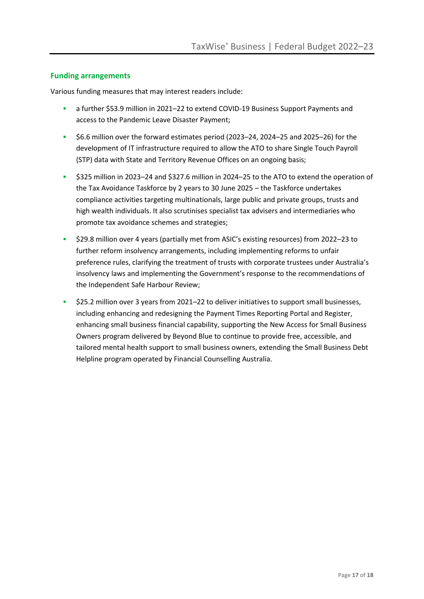#### **Funding arrangements**

Various funding measures that may interest readers include:

- **▪** a further \$53.9 million in 2021–22 to extend COVID-19 Business Support Payments and access to the Pandemic Leave Disaster Payment;
- **▪** \$6.6 million over the forward estimates period (2023–24, 2024–25 and 2025–26) for the development of IT infrastructure required to allow the ATO to share Single Touch Payroll (STP) data with State and Territory Revenue Offices on an ongoing basis;
- **▪** \$325 million in 2023–24 and \$327.6 million in 2024–25 to the ATO to extend the operation of the Tax Avoidance Taskforce by 2 years to 30 June 2025 – the Taskforce undertakes compliance activities targeting multinationals, large public and private groups, trusts and high wealth individuals. It also scrutinises specialist tax advisers and intermediaries who promote tax avoidance schemes and strategies;
- **▪** \$29.8 million over 4 years (partially met from ASIC's existing resources) from 2022–23 to further reform insolvency arrangements, including implementing reforms to unfair preference rules, clarifying the treatment of trusts with corporate trustees under Australia's insolvency laws and implementing the Government's response to the recommendations of the Independent Safe Harbour Review;
- **▪** \$25.2 million over 3 years from 2021–22 to deliver initiatives to support small businesses, including enhancing and redesigning the Payment Times Reporting Portal and Register, enhancing small business financial capability, supporting the New Access for Small Business Owners program delivered by Beyond Blue to continue to provide free, accessible, and tailored mental health support to small business owners, extending the Small Business Debt Helpline program operated by Financial Counselling Australia.